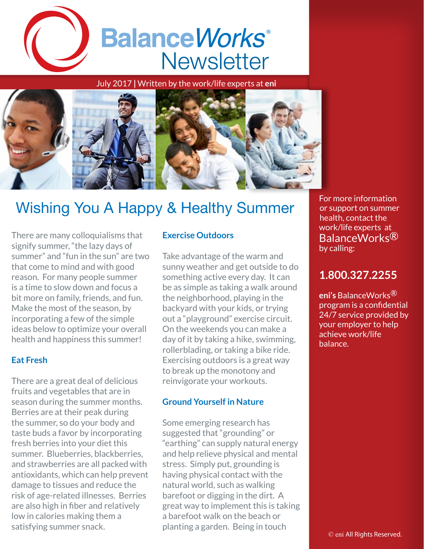

July 2017 **|** Written by the work/life experts at **eni**



# Wishing You A Happy & Healthy Summer

There are many colloquialisms that signify summer, "the lazy days of summer" and "fun in the sun" are two that come to mind and with good reason. For many people summer is a time to slow down and focus a bit more on family, friends, and fun. Make the most of the season, by incorporating a few of the simple ideas below to optimize your overall health and happiness this summer!

# **Eat Fresh**

There are a great deal of delicious fruits and vegetables that are in season during the summer months. Berries are at their peak during the summer, so do your body and taste buds a favor by incorporating fresh berries into your diet this summer. Blueberries, blackberries, and strawberries are all packed with antioxidants, which can help prevent damage to tissues and reduce the risk of age-related illnesses. Berries are also high in fiber and relatively low in calories making them a satisfying summer snack.

## **Exercise Outdoors**

Take advantage of the warm and sunny weather and get outside to do something active every day. It can be as simple as taking a walk around the neighborhood, playing in the backyard with your kids, or trying out a "playground" exercise circuit. On the weekends you can make a day of it by taking a hike, swimming, rollerblading, or taking a bike ride. Exercising outdoors is a great way to break up the monotony and reinvigorate your workouts.

### **Ground Yourself in Nature**

Some emerging research has suggested that "grounding" or "earthing" can supply natural energy and help relieve physical and mental stress. Simply put, grounding is having physical contact with the natural world, such as walking barefoot or digging in the dirt. A great way to implement this is taking a barefoot walk on the beach or planting a garden. Being in touch

For more information or support on summer health, contact the work/life experts at BalanceWorks<sup>®</sup> by calling:

# **1.800.327.2255**

**eni's** BalanceWorks® program is a confidential 24/7 service provided by your employer to help achieve work/life balance.